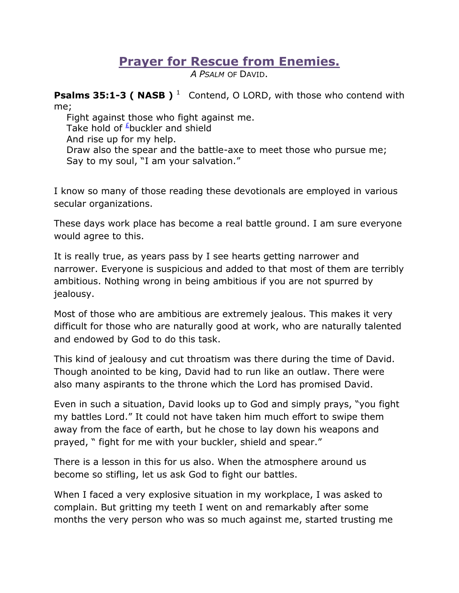## **Prayer for Rescue from Enemies.**

*A PSALM* OF DAVID.

**Psalms 35:1-3 ( NASB )**<sup>1</sup> Contend, O LORD, with those who contend with me;

 Fight against those who fight against me. Take hold of  $\frac{E}{2}$ buckler and shield And rise up for my help. Draw also the spear and the battle-axe to meet those who pursue me; Say to my soul, "I am your salvation."

I know so many of those reading these devotionals are employed in various secular organizations.

These days work place has become a real battle ground. I am sure everyone would agree to this.

It is really true, as years pass by I see hearts getting narrower and narrower. Everyone is suspicious and added to that most of them are terribly ambitious. Nothing wrong in being ambitious if you are not spurred by jealousy.

Most of those who are ambitious are extremely jealous. This makes it very difficult for those who are naturally good at work, who are naturally talented and endowed by God to do this task.

This kind of jealousy and cut throatism was there during the time of David. Though anointed to be king, David had to run like an outlaw. There were also many aspirants to the throne which the Lord has promised David.

Even in such a situation, David looks up to God and simply prays, "you fight my battles Lord." It could not have taken him much effort to swipe them away from the face of earth, but he chose to lay down his weapons and prayed, " fight for me with your buckler, shield and spear."

There is a lesson in this for us also. When the atmosphere around us become so stifling, let us ask God to fight our battles.

When I faced a very explosive situation in my workplace, I was asked to complain. But gritting my teeth I went on and remarkably after some months the very person who was so much against me, started trusting me